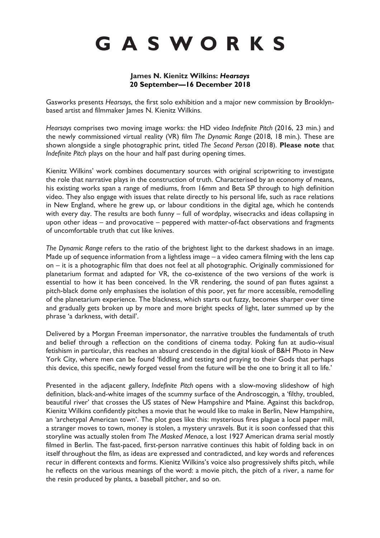# GASWORKS

### **James N. Kienitz Wilkins:** *Hearsays* **20 September—16 December 2018**

Gasworks presents *Hearsays*, the first solo exhibition and a major new commission by Brooklynbased artist and filmmaker James N. Kienitz Wilkins.

*Hearsays* comprises two moving image works: the HD video *Indefinite Pitch* (2016, 23 min.) and the newly commissioned virtual reality (VR) film *The Dynamic Range* (2018, 18 min.). These are shown alongside a single photographic print, titled *The Second Person* (2018). **Please note** that *Indefinite Pitch* plays on the hour and half past during opening times.

Kienitz Wilkins' work combines documentary sources with original scriptwriting to investigate the role that narrative plays in the construction of truth. Characterised by an economy of means, his existing works span a range of mediums, from 16mm and Beta SP through to high definition video. They also engage with issues that relate directly to his personal life, such as race relations in New England, where he grew up, or labour conditions in the digital age, which he contends with every day. The results are both funny – full of wordplay, wisecracks and ideas collapsing in upon other ideas – and provocative – peppered with matter-of-fact observations and fragments of uncomfortable truth that cut like knives.

*The Dynamic Range* refers to the ratio of the brightest light to the darkest shadows in an image. Made up of sequence information from a lightless image – a video camera filming with the lens cap on – it is a photographic film that does not feel at all photographic. Originally commissioned for planetarium format and adapted for VR, the co-existence of the two versions of the work is essential to how it has been conceived. In the VR rendering, the sound of pan flutes against a pitch-black dome only emphasises the isolation of this poor, yet far more accessible, remodelling of the planetarium experience. The blackness, which starts out fuzzy, becomes sharper over time and gradually gets broken up by more and more bright specks of light, later summed up by the phrase 'a darkness, with detail'.

Delivered by a Morgan Freeman impersonator, the narrative troubles the fundamentals of truth and belief through a reflection on the conditions of cinema today. Poking fun at audio-visual fetishism in particular, this reaches an absurd crescendo in the digital kiosk of B&H Photo in New York City, where men can be found 'fiddling and testing and praying to their Gods that perhaps this device, this specific, newly forged vessel from the future will be the one to bring it all to life.'

Presented in the adjacent gallery, *Indefinite Pitch* opens with a slow-moving slideshow of high definition, black-and-white images of the scummy surface of the Androscoggin, a 'filthy, troubled, beautiful river' that crosses the US states of New Hampshire and Maine. Against this backdrop, Kienitz Wilkins confidently pitches a movie that he would like to make in Berlin, New Hampshire, an 'archetypal American town'. The plot goes like this: mysterious fires plague a local paper mill, a stranger moves to town, money is stolen, a mystery unravels. But it is soon confessed that this storyline was actually stolen from *The Masked Menace*, a lost 1927 American drama serial mostly filmed in Berlin. The fast-paced, first-person narrative continues this habit of folding back in on itself throughout the film, as ideas are expressed and contradicted, and key words and references recur in different contexts and forms. Kienitz Wilkins's voice also progressively shifts pitch, while he reflects on the various meanings of the word: a movie pitch, the pitch of a river, a name for the resin produced by plants, a baseball pitcher, and so on.